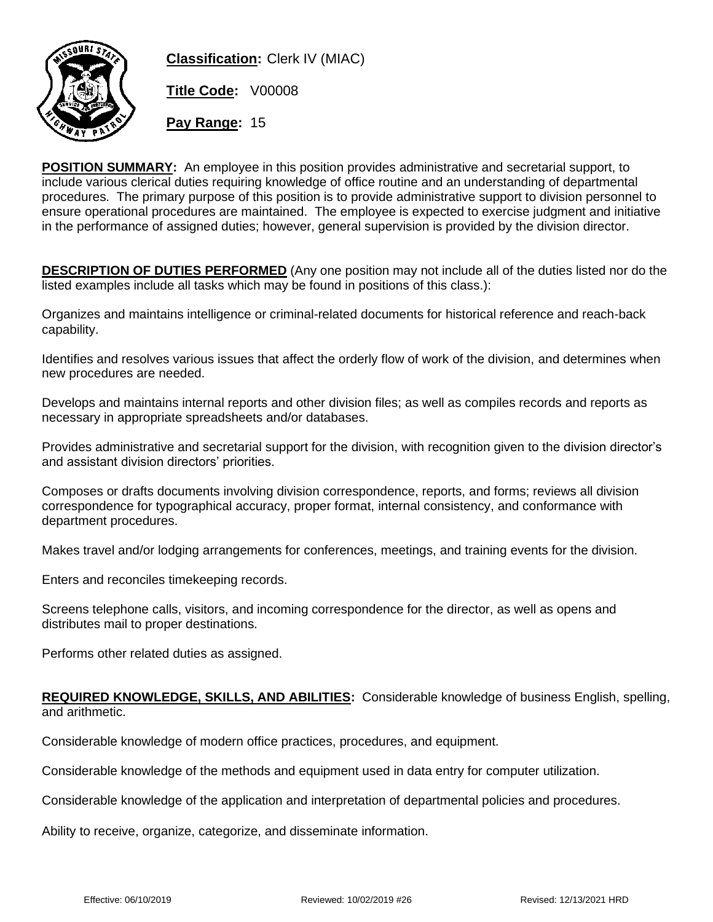

**Classification:** Clerk IV (MIAC)

**Title Code:** V00008

**Pay Range:** 15

**POSITION SUMMARY:** An employee in this position provides administrative and secretarial support, to include various clerical duties requiring knowledge of office routine and an understanding of departmental procedures. The primary purpose of this position is to provide administrative support to division personnel to ensure operational procedures are maintained. The employee is expected to exercise judgment and initiative in the performance of assigned duties; however, general supervision is provided by the division director.

**DESCRIPTION OF DUTIES PERFORMED** (Any one position may not include all of the duties listed nor do the listed examples include all tasks which may be found in positions of this class.):

Organizes and maintains intelligence or criminal-related documents for historical reference and reach-back capability.

Identifies and resolves various issues that affect the orderly flow of work of the division, and determines when new procedures are needed.

Develops and maintains internal reports and other division files; as well as compiles records and reports as necessary in appropriate spreadsheets and/or databases.

Provides administrative and secretarial support for the division, with recognition given to the division director's and assistant division directors' priorities.

Composes or drafts documents involving division correspondence, reports, and forms; reviews all division correspondence for typographical accuracy, proper format, internal consistency, and conformance with department procedures.

Makes travel and/or lodging arrangements for conferences, meetings, and training events for the division.

Enters and reconciles timekeeping records.

Screens telephone calls, visitors, and incoming correspondence for the director, as well as opens and distributes mail to proper destinations.

Performs other related duties as assigned.

## **REQUIRED KNOWLEDGE, SKILLS, AND ABILITIES:** Considerable knowledge of business English, spelling, and arithmetic.

Considerable knowledge of modern office practices, procedures, and equipment.

Considerable knowledge of the methods and equipment used in data entry for computer utilization.

Considerable knowledge of the application and interpretation of departmental policies and procedures.

Ability to receive, organize, categorize, and disseminate information.